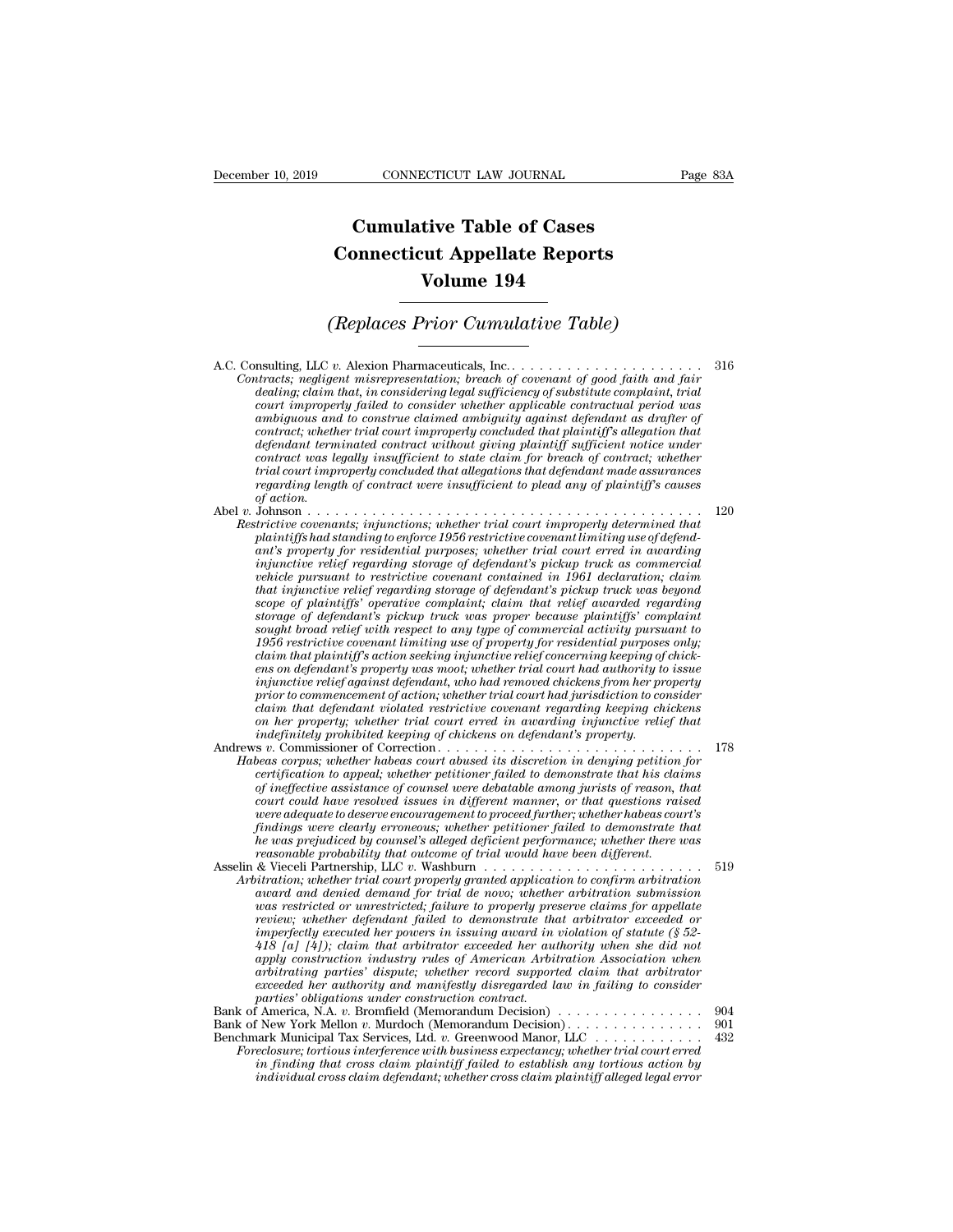## **CONNECTICUT LAW JOURNAL**<br> **Cumulative Table of Cases<br>
pnnecticut Appellate Reports CONNECTICUT LAW JOURNAL** Pa<br> **Cumulative Table of Cases**<br> **Connecticut Appellate Reports**<br> **Volume 194 ECTICUT LAW JOURNAL**<br> **Volume 194**<br> **Volume 194**<br> **Volume 194**<br> **Prior Cumulative Table) Cumulative Table of Cases<br>
Connecticut Appellate Reports<br>
Volume 194<br>
(Replaces Prior Cumulative Table)**<br> **Constant Cumulative Table**

A.C. Consulting, LLC *v.* Alexion Pharmaceuticals, Inc. . . . . . . . . . . . . . . . . . . . . . <sup>316</sup> *Contracts; negligent misrepresentation; breach of covenant of good faith and fair deplaces Prior Cumulative Table)*<br> **deplaces** *of covenant considering; claim that, in considering legal sufficiency of substitute complaint, trial*<br> *dealing; claim that, in considering legal sufficiency of substitute co court improperly failed to consider the to consider to consider to consider applicable considering*, LLC v. Alexion Pharmaceuticals, Inc.<br>*Let acts*; *negligent misrepresentation*; *breach of covenant of good faith and fa*  $\begin{array}{c} \hbox{(repuces Frotor Cumututive Tude)} \\\hbox{resulting, LLC v. Alexion {\it {\it {\it P}}}} \\\hbox{intracts; negligible. Theorem} \end{array} \begin{array}{c} \hbox{as a linear combination of a linear combination of the data set of the data set.} \\\hbox{invariant, in considering the data set of the data set of the data set.} \\\hbox{in a linear combination of the data set of the data set of the data set.} \end{array} \begin{array}{c} \hbox{infinite and a linear combination of the data set of the data set of the data set.} \\\hbox{infinite and a linear combination of the data set of the data set.} \end{array}$ *contraction mariformally a marriage trial contraction, the trial court improperly failed that, in considering legal sufficiency of substitute complaint, trial court improperly failed to consider whether applicable contrac definition and terminated contraction; terminated contracts; negligent misrepresentation; breach of covenant of good faith and fair dealing; claim that, in considering legal sufficiency of substitute complaint, trial cour contracts*; negligent misrepresentation; breach of covenant of good faith and fair and fair dealing; claim that, in considering legal sufficiency of substitute complaint, trial dealing; claim that, in consider whether app *thracts; negligent misrepresentation; breach of covenant of good faith and fair* dealing; claim that, in considering legal sufficiency of substitute complaint, trial court improperly failed to consider whether applicable *regarding*; claim that, in considering legal sufficiency of substitute complaint, trial<br>court improperly failed to consider whether applicable contractual period was<br>ambiguous and to construe claimed ambiguity against def  $\begin{array}{c} 2\, \mathrm{c} \, \mathrm{c} \, \mathrm{c} \, \mathrm{c} \, \mathrm{c} \, \mathrm{c} \, \mathrm{c} \, \mathrm{c} \, \mathrm{c} \, \mathrm{c} \, \mathrm{c} \, \mathrm{c} \, \mathrm{c} \, \mathrm{c} \, \mathrm{c} \, \mathrm{c} \, \mathrm{c} \, \mathrm{c} \, \mathrm{c} \, \mathrm{c} \, \mathrm{c} \, \mathrm{c} \, \mathrm{c} \, \mathrm{c} \, \mathrm{c} \, \mathrm{c} \, \mathrm{c} \, \mathrm{c} \, \mathrm{c} \, \mathrm{c} \,$ amonguous and to construe claimed amonguity against aegendant as arafter of<br>
contract, whether trial court improperly concluded that plaintiff's allegation that<br>
defendant terminated contract without giving plaintiff suffi *Contract; whether trial court improperly concluded that plaintiff sufficient notice under*<br> *Contract was legally insufficient to state claim for breach of contract, whether*<br> *Frial court improperly concluded that allega point to state claim for breach of contract; whether*<br>trial court improperly concluded that allegations that defendant made assurances<br>regarding length of contract were insufficient to plead any of plaintiff's causes<br>of a

*contract was legally insufficient to state claim for breach of contract; whether*<br>trial court improperly concluded that allegations that defendant made assurances<br>regarding length of contract were insufficient to plead an *injunctive relief regarding storage of defendant's pickup truck as commercial vehicle pursuant to restrictive covenant contained in 1961 declaration; claim that instead correlations, injunctions, whether trial court improperly determined that tricitive covenants; injunctions; whether trial court improperly determined that plaintiffs had standing to enforce 1956 restrictive c* Johnson<br>*scoperants; injunctions; whether trial court improperly determined that*<br>plaintiffs had standing to enforce 1956 restrictive covenant limiting use of defend-<br>part's property for residential purposes; whether trial *tructive covenants; injunctions; whether trial court improperty determined that*<br>plaintiffs had standing to enforce 1956 restrictive covenant limiting use of defend-<br>ant's property for residential purposes; whether trial planntyfs had standing to enforce 1956 restrictive covenant limiting use of defendant's property for residential purposes; whether trial court erred in awardring inductive relief regarding storage of defendant's pickup tru ant's property for residential purposes; whether trial court erred in awarding<br>injunctive relief regarding storage of defendant's pickup truck as commercial<br>which univariant to restrictive covenant contained in 1961 declar *composity to the plaintiff's' operative covenant contained in 1961 declaration; claim that injunctive relief regarding storage of defendant's pickup truck was proper because plaintiffs' complaint sought broad relief with enside pursuant to restrictive covenant contained in 1961 declaration; claim* that injunctive relief regarding storage of elefendant's pickup truck was beyond storage of plaintiffs' operative complaint; daim that relief a *ihat injunctive relief regarding storage of defendants pickup truck was beyond*<br>scope of plaintiffs' operative complaint; claim that relief awarded regarding<br>storage of defendant's pickup truck was proper because plaintif *prope of planntyfs' operative complaint; claim that relief awarded regarding*<br>*prope of defendant's pickup trick was proper because plaintiffs' complaint<br>1956 restrictive covenant limiting use of property for residential comage of defendant's puckup truck was proper because planntiffs' complaint* cought broad relief with respect to any type of commercial activity pursuant to 1956 restrictive covenant limiting use of property for residenti *sought broad retief with respect to any type of commercial activity pursuant to*<br>1956 restrictive covenant limiting use of property for residential purposes only;<br>claim that plaintiff's action seeking injunctive relief co *indefinitely property isomation the coven and fendant in that plaintiff's action seeking injunctive relief concerning keeping of* enso on defendant's property was moot; whether trial court had authority to injunctive reli retain that plantity is action seeking injunctive retief concerning keeping of chick-<br>ens on defendant's property was moot; whether trial court had authority to issue<br>injunctive relief against defendant, who had removed ch *Pas on defendant's property was moot; whether trad court had authority to issue*<br> *injunctive relief against defendant, who had removed chickens from her property*<br> *prior to commencement of action; whether trial court ha certification to commencement of action; whether trial court had jurisdiction to consider*<br>claim that defendant violated restrictive coverant regarding keeping chickens<br>con her property, whether trial court erred in award

pror to commencement of actron; whether trual court had jurisdiction to consider<br>claim that defendant violated restrictive covenant regarding keeping chickens<br>on her property, whether trial court erred in awarding injuncti *claim that defendant violated restrictive covenant regarding keeping chickens*<br> *con her property; whether trial court erred in awarding injunctive relief that*<br> *indefinitely prohibited keeping of chickens on defendant's were adequate to deserve encouragement to proceed further; whether habeas court's findings were clearly erroneous; whether petitioner failed to demonstrate that he was prejudiced by counsel's alleged deficient performance; whether there was certification to appeal; whether petitioner failed to demonstrate that his claims* of ineffective assistance of counsel were debatable among jurists of reason, that court could have resolved issues in different manner, or certification to appeal; whether petitioner jailed to demonstrate that his claims<br>of ineffective assistance of counsel were debatable among jurists of reason, that<br>court could have resolved issues in different manner, or t *Arbitration; whether trial coursel were debatable among jurists of reason, that*<br> *Arbitrations raised*<br> *Arbitrationg were electrowere encouragement to proceed further; whether habeas court's*<br> *Arbitrationg were clearly court could have resolved ussues in different manner, or that questions raised* were adequate to deserve encouragement to proceed further; whether habeas court's findings were clearly erroneous; whether perficient to demo

*were adequate to deserve encouragement to proceed jurther; whether nabeas court's*<br>
findings were clearly erroneous; whether petitioner failed to demonstrate that<br> *he was prejudiced by counsel's alleged deficient perform relations were clearly erroneous; whether petitioner jailed to demonstrate that* the was prejudiced by counsel's alleged deficient performance; whether there was reasonable probability that outcome of trial would have be *in was prepudiced by counset's alleged deficient performance; whether there was*<br>reasonable probability that outcome of trial would have been different.<br> $\&$  Vieccli Partnership, LLC v. Washburn . . . . . . . . . . . . . *418 [a] [4]); claim that arbitrator exceeded her authority when she did not apply construction industry rules of American Arbitration Association when arbitration*; whether trial court property granted application to confirm arbitration award and denied demand for trial de novo; whether arbitration submission was restricted or unrestricted; failure to properly preserve *exampled and denied demand for trial de novo; whether arbitration submission*<br> *exceeded or unrestricted;* failure to properly preserve claims for appellate<br> *review; whether defendant failed to demonstrate that arbitrati parties:* whether defendant failed to demonstrate that arbitrator exceeded or imperfectly executed her powers in issuing award in violation of statute (§ 52-418 [a] [4]); claim that arbitrator exceeded her authority when review; whether defendant jauted to demonstrate that arbitrator exceeded or<br>imperfectly executed her powers in issuing award in violation of statute (§ 52-<br>418 [a] (4]); claim that arbitrator exceeded her authority when sh mperfectly executed her powers in issuing award in violation of statute (8.52–418 [a] (4]); claim that arbitrator exceeded her authority when she did not arbitrating parties' dispute; whether record supported claim that ar

For the fight Municipal Tax Services of American Arbitration Association when<br>arbitrating parties' dispute; whether record supported claim that arbitrator<br>arbitrating parties' dispute; whether record supported claim that a *Arenders apply construction industry rules of American Arbitration Association when*<br> *Foreclost a her authority and manifetsly disregarded law in failing to consider<br>
parties' obligations under construction contract.*<br> arbitrating parties' dispute; whether record supported claim that arbitrator exceeded her authority and manifestly disregarded law in failing to consider parties' obligations under construction contract.<br> *i* America, N.A. *individual cross claim defendant; whether cross claim plaintiff alleged legal error*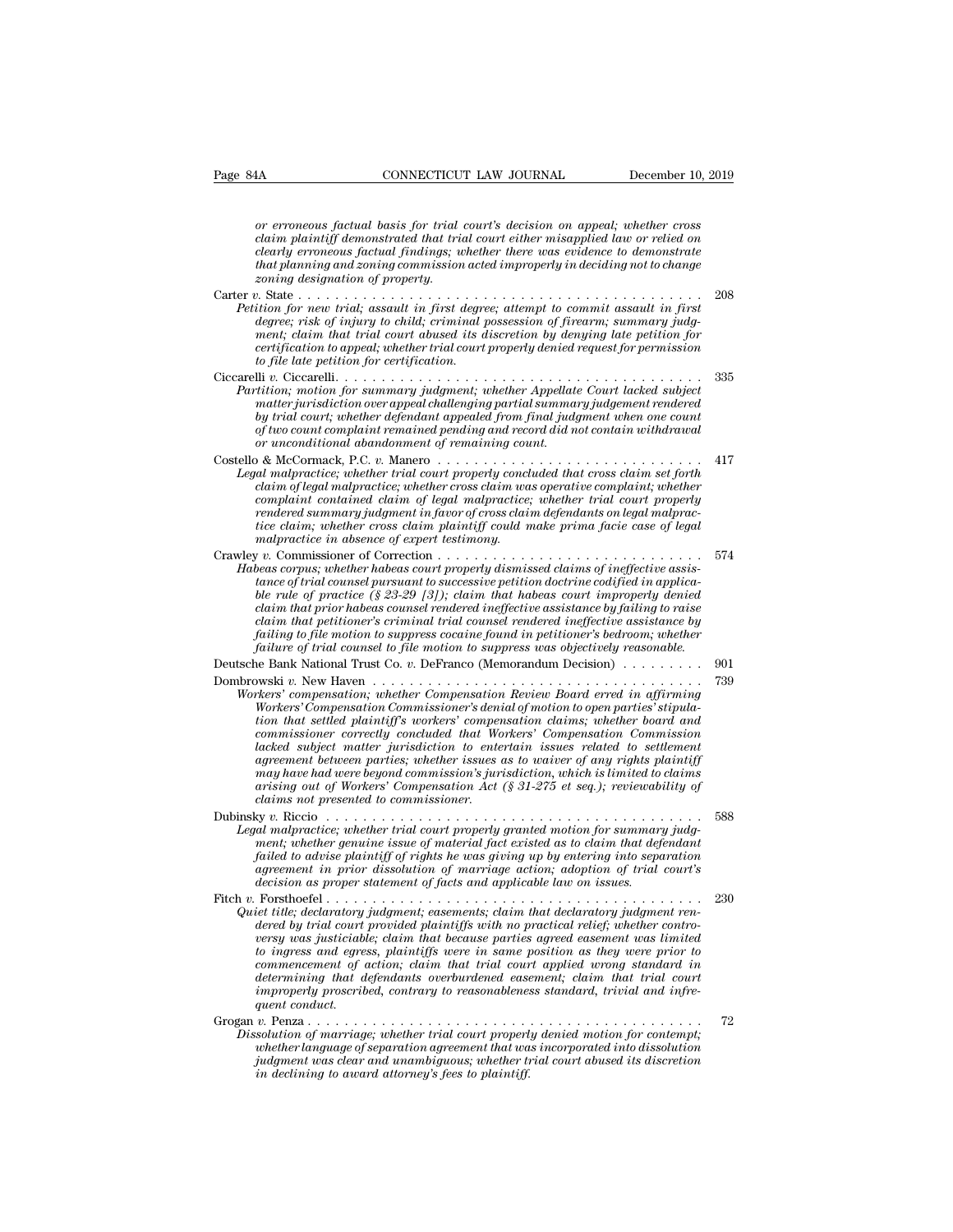*CONNECTICUT LAW JOURNAL* December 10, 2019<br> *or erroneous factual basis for trial court's decision on appeal; whether cross*<br> *clearly erroneous factual findinas: whether there was evidence to demonstrate*<br> *clearly erron* **connectively also that the connective demonstrated that the mission of the component or erroneous factual basis for trial court's decision on appeal; whether cross<br>clearly erroneous factual finding is whether their misapp** *connection LAW JOURNAL* December 10, 2019<br> *cor erroneous factual basis for trial court's decision on appeal; whether cross*<br> *claim plaintiff demonstrated that trial court either misapplied law or relied on*<br> *clearly th*<br> **that planning CONNECTICUT LAW JOURNAL**<br> *to erroneous factual basis for trial court's decision on appeal; whether cross*<br> *claim plaintiff demonstrated that trial court either misapplied law or relied on*<br> *clearly or erroneous factual basis for trial court's decision on appeal; whether cross claim plaintiff demonstrated that trial court either misapplied law or relied on clearly erroneous factual findings; whether there was evidenc* or erroneous factual basis for trial court's decision on appeal; whether cross<br>
claim plaintiff demonstrated that trial court either misapplied law or relied on<br>
clearly erroneous factual findings; whether there was eviden or erroneous factual basis for trial court's decision on appeal; whether cross<br>claim plaintiff demonstrated that trial court either misapplied law or relied on<br>clearly erroneous factual findings; whether there was evidence *definition plaintiff demonstrated that trial court either misapplied law or relied on clearly erroneous factual findings; whether there was evidence to demonstrate that planning and zoning commission acted improperly in d menting parametarization in trial court enter missipplied and trial court abused in promeous factual findings; whether there was evidence to demonstrate that planning and zoning commission acted improperty in deciding not certification and station formission acted improperly in deciding not to change*<br>*coning designation of property.*<br>2008<br>*icion for new trial; assault in first degree; attempt to commit assault in first<br>degree; risk of inj degree; risk of injury to child; criminal possession of firearm; summary judgment; claim that trial court abused its discretion by denying late petition for certification to appeal; whether trial court properly denied req* Ciccarelli *v.* Ciccarelli. . . . . . . . . . . . . . . . . . . . . . . . . . . . . . . . . . . . . . . . <sup>335</sup> *Patition for summary instanting for summary internal to commit assault in first*<br>degree; risk of injury to child; criminal possession of firearm; summary judgment; claim that trial court abused its discretion by denying l *mon* for each transformation of the interest and the interest and the degree; risk of injury to child; criminal possession of firearm; summary judgement; claim that trial court abused its discretion by denying late petiti *by text is, by indry to chual, criminal possession by denying late petition for*<br>ment; daim that trial court abused its discretion by denying late petition for<br>certification to appeal; whether trial court properly denied *of two count count count count count and count properly denied request for permission*<br>certification to appeal; whether trial court properly denied request for permission<br>to file late petition for certification.<br> $\begin{array}{ll}$ matter jurisdiction over appeal challenging partial summary judgement rendered<br>by trial court; whether defendant appealed from final judgment when one count<br>of two count complaint remained pending and record did not contai Ciccarelli v. Ciccarelli.<br>
Partition; motion for summary judgment; whether Appellate Court lacked subject<br>
matter jurisdiction over appeal challenging partial summary judgement rendered<br>
by trial court; whether defendant a **Legal matrice;** whether set for the court is that court is the matter jurisdiction over appeal challenging partial summary judgement rendered<br>by trial court, whether defendant appealed from final judgment when one count<br>o *claim is claim is a claim and juagment, whether Appearate Court actaets any*<br>claim of the court, whether defendant appealed from final judgment vendered<br>by trial court, whether defendant appealed from final judgment when *complaint contained complete chaim appealed from final judgment when one count*<br>by trial court; whether defendant appealed from final judgment when one count<br>of two count complaint remained pending and record did not cont *render we count complaint remained pendang and record did not contain withdrawal*<br>of two count complaint remained pending and record did not contain withdrawal<br>or unconditional abandonment of remaining count.<br>al malpracti *tion contributal remaining that record ata not conditional abandonment of remaining count.*<br>
or unconditional abandonment of remaining count.<br>
al malpractice; whether trial court properly concluded that cross claim set fo *malpractice; whether transformed in alternational malpractice; whether transformed malpractice; whether cross claim was concluain of legal malpractice; whether cross claim was complaint contained claim of legal malpractic* Crawley *v.* Commissioner of Correction . . . . . . . . . . . . . . . . . . . . . . . . . . . . . <sup>574</sup> *Habeas complaint contained claim of legal malpractice; whether trial court properly rendered summary judgment in favor of cross claim defendants on legal malpractice claim; whether cross claim plaintiff could make prima f rendered summary judgment in favor of cross claim defendants on legal malpractice claim, whether cross claim plaintiff could make prima facie case of legal malpractice in absence of expert testimony.*<br> *y v*. Commission *ble rule of practice (§ 23-29 [3]); claim maip incurre, where that court property-<br>indeed summary judgment in favor of cross claim defendants on legal malpractice claim, whether cross claim plaintiff could make prima faci claim that prior habeas counsel rendered ineffective assistance by failing to raise claim that petitioner's criminal trial counsel rendered ineffective assistance by failing to file motion to fileration the motion to fileration to found in the commissioner of Correction to file motion to the failing to firial counsel pursuant to successive petition doctrine codified in applicable rule failure of trial counsel to file motion to suppress was objectively reasonable.* throus corpus, anceare most as to properly denied in applications of trial counsel pursuant to successive petition doctrine codified in applicable rule of practice (§ 23-29 [3]); claim that habeas court improperly denied c ble rule of practice (§ 23-29 [3]); claim that habeas court improperly denied<br>claim that prior habeas counsel rendered ineffective assistance by failing to raise<br>claim that petitioner's criminal trial counsel rendered inef *Claim that prior habeas counsel rendered ineffective assistance by failing to raise*<br> *Claim that petitioner's criminal trial counsel rendered ineffective assistance by*<br> *failing to file motion to suppress cocaine found Commissioner's criminal trial counsel rendered ineffective assistance by*<br>*failing to file motion to suppress cocaine found in petitioner's bedroom; whether*<br>*failure of trial counsel to file motion to suppress was object that that settlem that suppress cocaine found in petitioner's bedroom; whether*<br> *thailure of trial counsel to file motion to suppress was objectively reasonable.*<br> **he Bank National Trust Co.** *v.* DeFranco (Memorandum D *commissioner correctly concluded that Workers' Compensation Commission* <sup>2</sup><br> *lacked subsectional Trust Co. v. DeFranco (Memorandum Decision)*<br> *lacked v. New Haven*<br> *lackers' compensation, whether Compensation Review Board erred in affirming<br>
<i>Workers' Compensation Commissioner's denial of m agreement between parties; whether issues as to waiver of any rights plaintiff may have have have the compensation Review Board erred in affirming*<br>*Workers' compensation, whether Compensation Review Board erred in affirming<br>workers' Compensation to open parties' stipula-<br>tion that settled plaintiff arising compensation; whether Compensation Review Board erred in affirming Workers' Compensation Commissioner's denial of motion to open parties' stipulation that settled plaintiff's workers' compensation claims; whether Workers' Compensation Commissioner's denition that settled plaintiff's workers' comperimissioner correctly concluded that Wordslands lacked subject matter jurisdiction to enter agreement between parties; whether issues ma* commissioner correctly concluded that Workers' Compensation Commission<br>commissioner correctly concluded that Workers' Compensation Commission<br>lacked subject matter jurisdiction to entertain issues related to settlement<br>agr *Legal malpractice; whether issues some summary index*<br>acked subject matter invisible in to entertain issues related to settlement<br>agreement between parties; whether issues as to waiver of any rights plaintiff<br>may have had *mente subject matter jartssuchtion to entertain issues reduced to settement* between parties; whether issues as to waiver of any rights plaintiff may have had were beyond commission's jurisdiction, which is limited to cla *failed to advise plaintif* of rights he was as a state of our plany have had were beyond commission's jurisdiction, which is limited to claims arising out of Workers' Compensation Act (§ 31-275 et seq.); reviewability of *agrame nat were organa commissions furtalisation, and is timited to cuims*<br>arising out of Workers' Compensation Act (§ 31-275 et seq.); reviewability of<br>claims not presented to commissioner.<br>y v. Riccio<br>almalpractice; whe *decision at of worders compensation Act* (*x 51-213 et seq.)*, retreated claims not presented to commissioner.<br> *decision and malpractice*; whether trial court properly granted motion for summary<br>
ment; whether genuine is Dubinsky v. Riccio<br> *Legal malpractice*; whether trial court properly granted motion for summary judg-<br>
ment; whether genuine issue of material fact existed as to claim that defendant<br>
failed to advise plaintiff of rights *Legal malpractice; whether trial court properly granted motion for summary judgment; whether genuine issue of material fact existed as to claim that defendant failed to advise plaintiff of rights he was giving up by enter dered by trial court in the court proping gradient model in state and ment; whether genuine issue of material fact existed as to claim that defendant failed to advise plaintiff of rights he was giving up by entering into version and the distance issue of material justicialista to daring that distancement in prior dissolution of marriage action, adoption of trial court's* decision as proper statement of facts and applicable law on issues.<br> *to interimally of regimes in a case was giving ap of energy and separation*<br>agreement in prior dissolution of marriage action; adoption of trial court's<br>decision as proper statement of facts and applicable law on issues.<br> *commencement of action; claim that trial court applicable law on issues.*<br> *commencement of facts and applicable law on issues.*<br> *commenced by trial court provided plaintiffs with no practical relief; whether contro-*<br> *determining that defendants overburdened easement; claim that declaratory judgment renear title; declaratory judgment; easements; claim that declaratory judgment reneared by trial court provided plaintiffs with no practic improperly proscribed, contrary to reasonableness standard, trivial and infreget title; declaratory dered by trial court<br>versy was justiciable ingress and egree<br>to ingress and egree<br>commencement of idetermining that definition in the interval of the intervals.<br>v. Penza . . . . . . . . . . . . . .* erray was justiciable; claim that because parties agreed easement was limited<br>to ingress and egress, plaintiffs were in same position as they were prior to<br>commencement of action; claim that trial court applied wrong stand *Dissolution of marriage; culmi and because partics ayer culmines tanked was unitated to ingress and egress, plaintiffs were in same position as they were prior to commencement of action; claim that trial court applied wro wheres and eyers, patrings were in sume position is ling were firm*<br>commencement of action; claim that trial court applied wrong standard in<br>determining that defendants overburdened easement; claim that trial court<br>improp *judicational is clear and unambiguous; whether trial court applied words summary inproperly proscribed, contrary to reasonableness standard, trivial and infrequent conduct.*<br> *y*. Penza . . . . . . . . . . . . . . . . . . *in declining to award attorney's fees to plaintiff.*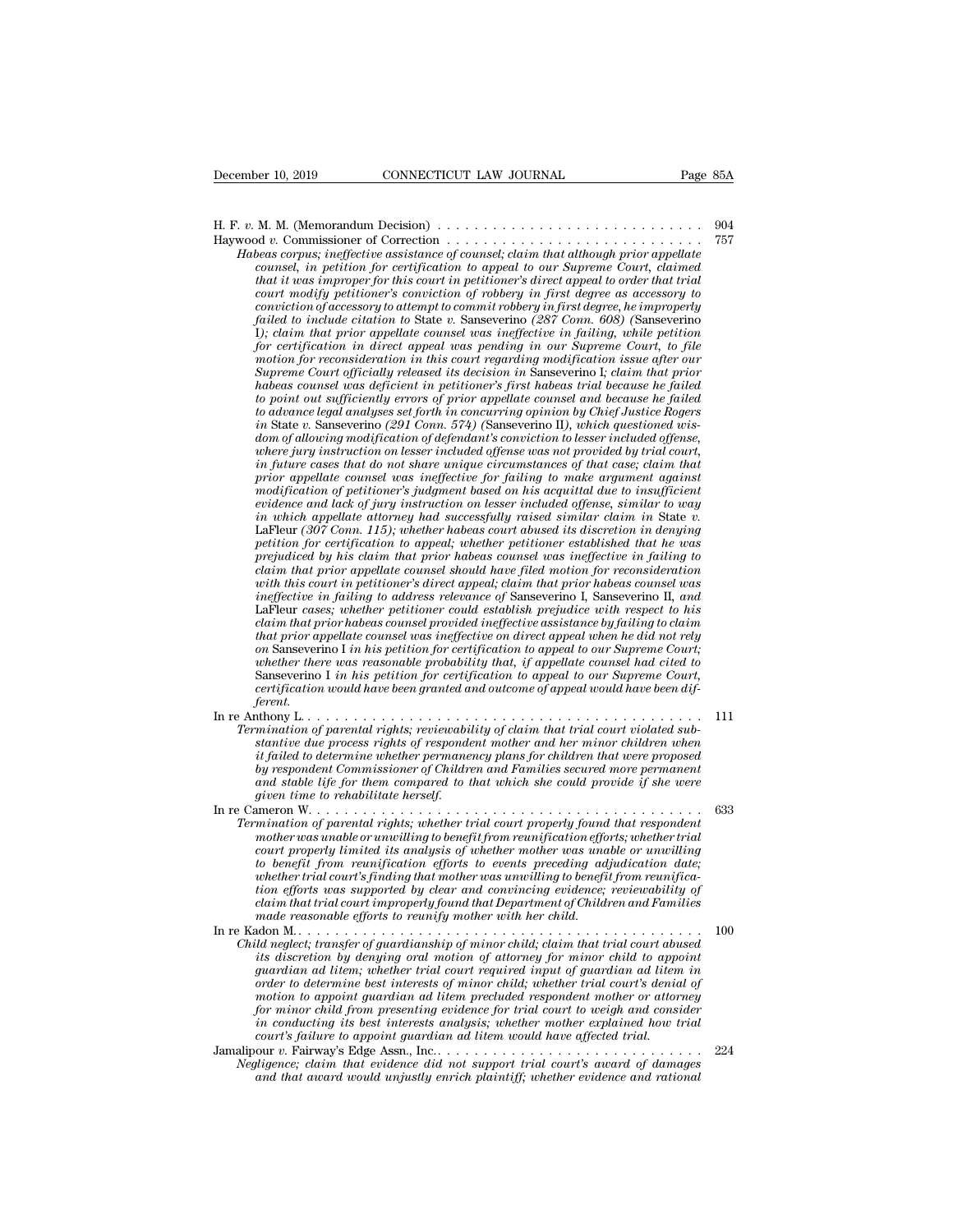H. F. *<sup>v</sup>*. M. M. (Memorandum Decision) . . . . . . . . . . . . . . . . . . . . . . . . . . . . . <sup>904</sup> Haywood *v.* Commissioner of Correction . . . . . . . . . . . . . . . . . . . . . . . . . . . . <sup>757</sup> *Habeas corpus; ineffective assistance of counsel; claim that although prior appellate*<br>*Habeas corpus; ineffective assistance of counsel; claim that although prior appellate*<br>*Habeas corpus; ineffective assistance of coun connected in periodic connected in periodic in periodic in periodic in that although commissioner of Correction*<br>*dv. Commissioner of Correction*  $\ldots$  *claim that although prior appellate*<br>*counsel, in petition for cer that it was improper for this court in petitioner's direct appeal to order that trial coming modify periorial models of robbery in first degree as accessory in the periorial of v. Commissioner of Correction of robbers corpus; ineffective assistance of counsel; claim that although prior appellate counsel, i M. M. (Memorandum Decision)*<br> *commissioner of Correction*<br> *conviction of accession of coursel, claim that although prior appellate<br>
coursel, in petition for certification to appeal to our Supreme Court, claimed<br>
that it failed to include citation is determined to include to include to include connus; ineffective assistance of counsel, claim that although prior appellate counsel, in petition for certification to appeal to our Supreme Cour I*) beas corpus; ineffective assistance of counsel; claim that although prior appellate counsel, chaim that although prior appellate counsel, that it was improper for this court in petitioner's direct appeal to order that *for certification in perfective assistance of counsel; clarm that although pror appellate* counsel, in petition for certification to appeal to our Supreme Court, claimed that it was improper for this court in petitioner's *counsel, in petition for certification to appeat to our Supreme Court, claimed*<br>that it was improper for this court in petitioner's direct appeal to order that trial<br>court modify petitioner's conviction of coolery in firs *Culture That it was improper for this court in petitioner's direct appeal to order that trial<br>court modify petitioner's conviction of robbery in first degree as accessory to<br>conviction of accessory to attempt to commit ro court modify petitioner's conviction of robbery in first degree as accessory to conviction of accessory to attempt to commit robbery in first degree, he improperly failed to include citation to State v. Sanseverino (287 C conviction of accessory to attempt to commut robbery in first degree, he improperty*<br>failed to include citation to State v. Sanseverino (287 Conn. 608) (Sanseverino<br>for certification in direct appeal was ineffective in fa *tauled to include citation to State v. Sanseverno (287 Conn. 608)* (Sanseverno I); claim that prior appellate coursel was ineffective in failing, while petition for certification in direct appeal was pending in our Superm *i); clarm that proor appellate counsel was ineffective in failing, while petition* for certification in direct appeal was pending in our Supreme Court, to file motion for reconsideration in this court regarding modificati *dom certification in direct appeal was pending in our Supreme Court, to file motion for reconsideration in this court regarding modification issue after our Supreme Court officially relased its decision in Sanseverino I; motion for reconsideration in this court regarding modification issue after our*<br>*Supreme Court officially released its decision in Sanseverino I; claim that prior*<br>*habeas coursel was deficient in petitioner's first habe Supreme Court officially released its decision in Sanseverino I; claim that prior*<br>*habeas coursel was deficient in petitioner's first habeas trial because he failed*<br>*to point out sufficiently errors of prior appellate c propertion and the deficiently errors of prior appellate counsel and because he jailed* to point out sufficiently errors of prior appellate counsel and because he failed to advance legal analyses set forth in concurring o *modification of petitioneris of proor appellate counsel and because he jailed* to advance legal analyses set forth in concurring opinion by Chief Justice Rogers in State v. Sanseverino (291 Comn. 574) (Sanseverino II), wh *to advance legal analyses set forth in concurring opinion by Chief Justice Rogers*<br>in State v. Sanseverino (291 Comn. 574) (Sanseverino II), which questioned vis-<br>dom of allowing modification of defendant's conviction to *in State v. Sansevermo (291 Conn. 574) (Sansevermo II), which questioned wis-dom of allowing modification of defendant's conviction to lesser included offense, where invariation on lesser included offense was in future ca petition on lesser included offense was not provided by trial court,* in future cases that do not share unique circumstances of that case; claim that prior appellate coursel was ineffective for failing to make argument ag *in future cases that do not share unique circumstances of that case; claim that* prior appellate counsel was ineffective for failing to make argument against modification of petitioner's judgment based on his acquital due prior appellate counsel was ineffective for failing to make argument against<br>modification of petitioner's judgment based on his acquittal due to insufficient<br>evidence and lack of jury instruction on lesser included offense *woodification of petitioner's judgment based on his acquittal due to insufficient*<br>evidence and lack of jury instruction on lesser included offense, similar to way<br>in which appellate attorney had successfully raised simil *in which appellate atterney had successfully raised similar claim in State v.*<br> *in which appellate attorney had successfully raised similar claim in State v.*<br> *perium (307 Coma. 115); whether habeas court abused its dis* in which appellate attorney had successfully raised similar claim in State v.<br>LaFleur (307 Conn. 115); whether habeas court abused its discretion in denying<br>petition for certification to appeal; whether petitioner establis LaFleur (307 Conn. 115); whether habeas court abused its discretion in denying<br>petition for certification to appeal; whether petitioner established that he was<br>claim that prior appellate counsel should have filed motion fo petition for certification to appeal; whether petitioner established that he was<br>prejudiced by his claim that prior habeas counsel was ineffective in failing to<br>claim that prior appellate counsel should have filed motion f *prejudiced by his claim that prior habeas counsel was ineffective in failing to claim that prior appellate counsel should have filed motion for reconsideration with this court in petitioner's direct appeal; claim that pri clarm that proor appellate counsel should have jued motion for reconsideration* with this court in petitioner's direct appeal; claim that prior habeas counsel was ineffective in failing to address relevance of Sanseverion with this court in petitioner's direct appeal; claim that prior habeas counsel was<br>ineffective in failing to address relevance of Sanseverino I, Sanseverino II, and<br>LaFleur cases; whether petitioner could establish prejudi *certification metallaction would establish prejudice with respect to his* clarificar cases; whether petitioner could establish prejudice with respect to his claim that prior habeas counsel provided ineffective assistance  $\it{ferent}.$  In re Anthony L. . carm mat pror naoeas counset provided ineffective assistance oy jailing to clarm<br>that prior appellate counsel was ineffective on direct appeal when he did not rely<br>on Sanseverino I in his petition for certification to appe *Termination of parental rights; reviewability of claim that trial court Supergeon Sameswerino I in his petition for certification to appeal to our Supreme Court, certification would have been granted and outcome of appeal on Saliseverino 1 in his petition for certification to appeal to our Supreme Court;*<br>whether there was reasonable probability that, if appellate coursel had cited to<br>Saliseverino I in his petition for certification to app

- *innerator* there was reasonable probability that, if appellate counset had cited to determine court, Sanseverino I in his petition for certification to appeal to our Supreme Court, certification would have been granted an *by respondent Commissioner of Children and Families secured more permanent and stable life for them compared to that which she could provide if she were Termination of parental rights; reviewability of claim that trial court violated substantive due process rights of respondent mother and her minor children when it failed to determine whether permanency plans for children* In re Cameron W. . . . . . . . . . . . . . . . . . . . . . . . . . . . . . . . . . . . . . . . . . . <sup>633</sup> *Termination of parental rights; reviewability of claim that trial court violated substantive due process rights of respondent mother and her minor children when it failed to determine whether permanency plans for children mother was universing to prespondent momer and ner minor chuaren when* the failed to determine whether permanency plans for children that were proposed by respondent Commissioner of Children and Families secured more perm
- *court is a content the missioner of Children and Families secured more permanent by respondent Commissioner of Children and Families secured more permanent and stable life for them compared to that which she could provide to the life for them communisation of Children and Families secured more permanent* and stable life for them compared to that which she could provide if she were given time to rehabilitate herself.<br>
In the simulation of p *what stable tipe for them compared to that which she could provide if she were* given time to rehabilitate herself.<br> *whereaft mother was unable or unwilling to benefit from reunification efforts; whether trial<br>
court pro tion efforts was supported by clear and convincing evidence; reviewability of claim that trial court improperly found that Department of Children and Families* mination of parental rights; whether trial court property found<br>mother was unable or unwilling to benefit from reunification efforts<br>to benefit from reunification efforts to events preceding ad<br>whether trial court's findin mouter was undoen runwing to benefit from reantly called the more runs unable or unwilling<br>court properly limited its analysis of whether mother was unpedication date;<br>to benefit from reunification efforts to events preced *Court property timuted us analysis of whether momer was unable or univoluing to benefit from reunification efforts to events preceding dajablaction date; whether trial court's finding that mother was unwilling to benefit its discretion of attorney in the mother was unwilling to benefit in condition efforts was supported by clear and convincing evidence; reviewability of claim that trial court improperly found that Department of Children a*
- *guardian ad litem; whether trial court symmatry to be eight from reunification offorts was supported by clear and comvincing evidence; reviewability of claim that trial court improperly found that Department of Children a order to determine best interests of minor child form that trial court improperty found that Department of Children and Families* change made reasonable efforts to reunify mother with her child; claim that trial court abu *motion to appoint guardian ad litem precluded respondent mother or attorney for minor child from presenting momer with her child* reduction  $M_{\cdots}$ .<br> *for minor child from presenting evidence for the discretion by denying oral motion of attorney for minor child to appoint<br>
<i>guardian ad litem*; w *id neglect; transfer of guardianship of minor child; claim that trial court abused*<br>*its discretion by denying oral motion of attorney for minor child to appoint*<br>*inaryatian ad litem; whether trial court required input o court's failure of guardian and point of attorney for minor child to appoint and litem in the appoint required input of attorney for minor child to appoint required input of guardian ad litem order to determine best inter* Is discretion by denying ordentical delivering yor minor child to dippoint<br>guardian ad litem; whether trial court required input of guardian ad litem in<br>order to determine best interests of minor child; whether trial court *Negligence; claim that evidence did not support trial court required input of determine best interests of minor child; whether trial court's denial of motion to appoint guardian ad litem precluded respondent mother or att and that award would unjustly enrich and that award would respondent mother or attorney*<br>for minor child from presenting evidence for trial court to weigh and consider<br>in conducting its best interests analysis; whether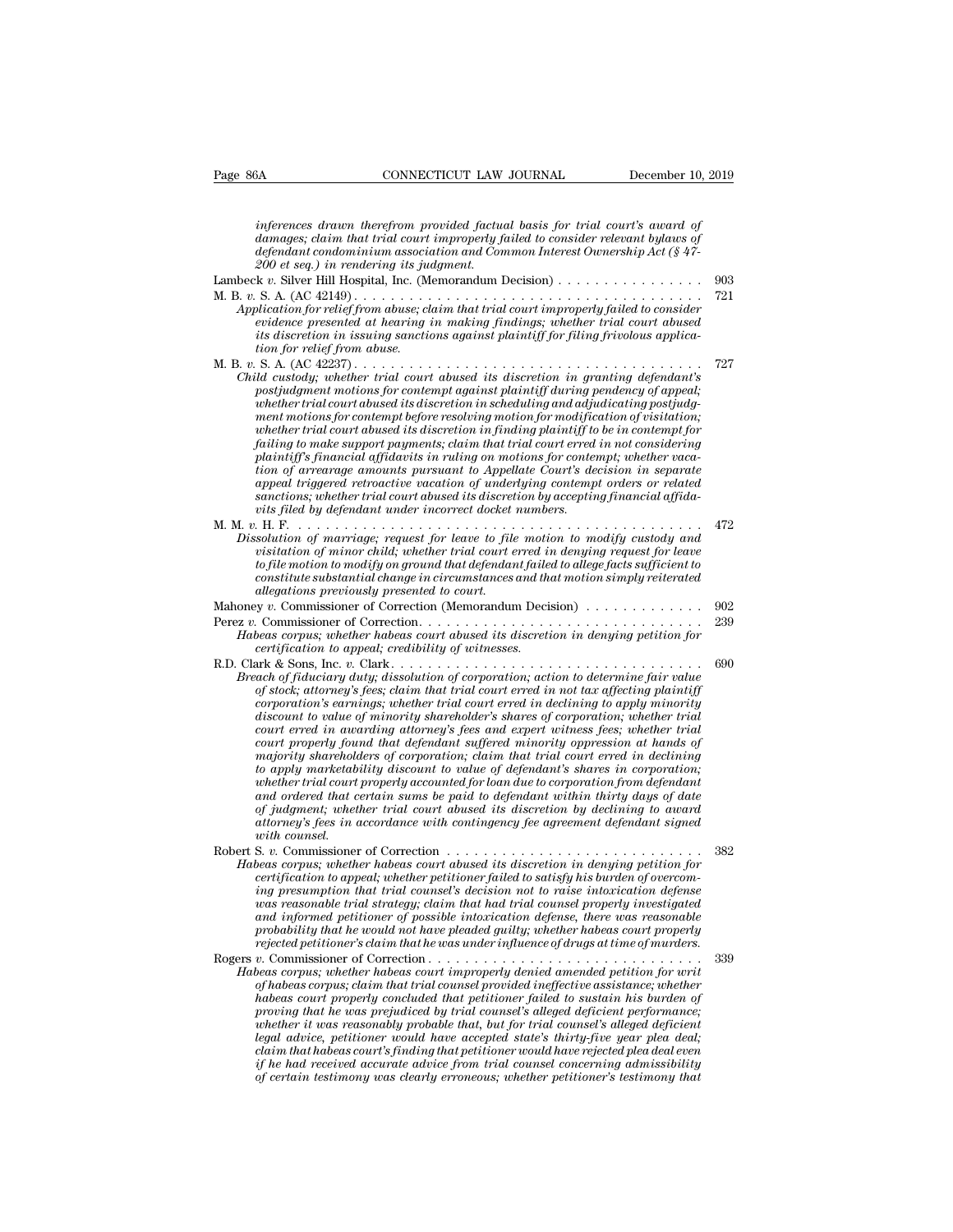*inferences drawn therefrom provided factual basis for trial court's award of damages; commeterically commetering trial court is award of defendent court is award of demages; claim that trial court is award of defendent coinminim association and Common Interest Ownership Act (§ 47-200 et seq defendant condominium association and Common Interest Ownership Actual basis for trial court's award of*<br>*damages; claim that trial court improperly failed to consider relevant bylaws of*<br>*defendant condominium associatio 200 EONNECTICUT LAW*<br> *200 inferences drawn therefrom provided factud*<br> *200 et seq.) in rendering its judgment.*<br> *200 et seq.) in rendering its judgment.*<br> *200 et seq.) in rendering its judgment.*<br> *Le* . Silver Hill H inferences drawn therefrom provided factual basis for trial court's award of<br>damages; claim that trial court improperly failed to consider relevant bylaws of<br>defendant condominium association and Common Interest Ownership inferences drawn therefrom provided factual basis for trial court's award of<br>damages; claim that trial court improperly failed to consider relevant bylaws of<br>defendant condominium association and Common Interest Ownership *Application for relief from provided factual basis for trial court's award of*<br>*Admages; claim that trial court improperly failed to consider relevant bylaws of*<br>*Application for relief from abuse; claim that trial court eventess what wareform provided juddle to consider relevant bylaws of*<br>defendant condominium association and Common Interest Ownership Act (§ 47-<br>200 et seq.) in rendering its judgment.<br>k v. Silver Hill Hospital, Inc. (Me *its discretion in issuing sanctions against plaintiff for filing frivolous applicationally construction absociation dissociation*<br> *z00 et seq.)* in rendering its judicial abuse. Considering the set of S. A. (AC 42149) .........<br>
blication for relief from abuse, clevidence presented at hearing its<br>
dis M. B. *v.* S. A. (AC 42237) . . . . . . . . . . . . . . . . . . . . . . . . . . . . . . . . . . . . . . <sup>727</sup> **Example 2018** Consider the custom of the custom of the custom of the custom of the custom for relief from abuse; claim that trial court improperly failed to consider evidence presented at hearing in making findings; wheth *postiudgment motions for contempt against plaintiff during pendence presented at hearing in making findings; whether trial court abused* its discretion in issuing sanctions against plaintiff for filing frivolous applicati *whether trial court abused it hearing in making findings; whether trial court abused*<br>evidence presented at hearing in making findings; whether trial court abused<br>tion for relief from abuse.<br>S. A. (AC 42237).............. *ment motions for contempt before resolving motion for modification of visitation; whether trial court abused its discretion in finding plaintiff to be in contempt for failing to make support and the make support payment of the custody, whether trial court abused its discretion in granting defendant's* post*judgment motions for contempt against plaintiff during pendency of appeal; wheth plaintiff to the simple in the contempt against plaintiff during defendant's* in *granting defendant's phostying pending ment motions for contempt against plaintiff during pendency of appeal; whether trial court abused* postjudgment motions for contempt against plaintiff during pendency of appeal;<br>whether trial court abused its discretion in scheduling and adjudicating postjudgment motions for contempt before resolving motion for modifica post*yudgment motions for contempt against plaintiff during pendency of appeal;*<br>whether trial court abused its discretion in scheduling and adjudicating postjudg-<br>ment motions for contempt before resolving motion for modi *sance trial court abused its discretion in scheduling and adjudicating postjudgment motions for contempt before resolving motion for modification in whether trial court abused its discretion in finding plaintiff to be in riand motions for contempt before resolving motion for modification infinding plaintiff to failing to make support payments; claim that trial court erred plaintiff's financial affidavits in ruling on motions for conterion* M. M. *v.* H. F. . . . . . . . . . . . . . . . . . . . . . . . . . . . . . . . . . . . . . . . . . . . . <sup>472</sup> *Dissolution of marriage; request for leave to file motions for contempt; whether vacation of arrearage amounts pursuant to Appellate Court's decision in separate appeal triggered retroactive vacation of underlying contemp* plantify *s* financial affuancies in rating on motions for contempt; whether ordination of arrearage amounts pursuant to Appellate Court's decision in separate appeal triggered retroactive vacation of underlying contempt o *tom of arrearing amounts pursuant to Appeutie Court's accession in separate appeal ringgred retroactive vacation of underlying contempt orders or related valentions; whether trial court abused its discretion by accepting constitute substantial constitute substantial distribute substantial affidations; whether trial court abused its discretion by accepting financial affidation of marriage; request for leave to file motion to modify custody allegations, whether true court abused us asserted*<br>*allegations piece of the court in terms of marriage; request for leave to file*<br>*asolution of marriage; request for leave to file*<br>*allegation of minor child; whether t* Mahoney *<sup>v</sup>*. Commissioner of Correction (Memorandum Decision) . . . . . . . . . . . . . <sup>902</sup> Dissolution of marriage; request for leave to file motion to modify custody and<br>visitation of manor child, whether trial court erred in denying request for leave<br>to file motion to modify on ground that defendant failed to *Habeas corpus; whether trial court area in denying request for leave*<br>to file motion to modify on ground that defendant failed to allege facts sufficient to<br>constitute substantial change in circumstances and that motion s *certification of minor child, whether trial court erred in denying request for leave to file motion to modify on ground that defendant failed to allege facts sufficient to constitute substantial change in circumstances a* constitute substantial change in circumstances and that motion simply reiterated<br>allegations previously presented to court.<br>Mahoney v. Commissioner of Correction (Memorandum Decision)<br>Perez v. Commissioner of Correction.<br>F *Breach of fiduciary duty; dissolution of corporation of corporation of corporation of corporation*<br> *Brack of fiduciary duty; dissolution of corporation; action in denying petition for*<br> *Breach of fiduciary duty; dissolu of*  $\alpha$  stock; attorney's fees; claim that trial court abused its discretion in denying petition for certification to appeal; credibility of witnesses.<br>
and  $\alpha$  stock; whether habeas court abused its discretion in deny *corporation's earnings; whether trial court erred in declining to apply minority differentially to difference of correction.*<br> *density and the minority of witnesses.*<br> *density of witnesses.*<br>  $\alpha$  and *of fiduciary duty; dissolution of corporation; action to determine fair value*<br> *of stock; attorne court erred in awarding attorney's fees and expert witness fees; whether trial corry detailon to appeal; creationtry of winnesses.*  $\frac{1}{2}$  and  $\frac{1}{2}$  and  $\frac{1}{2}$  and  $\frac{1}{2}$  and  $\frac{1}{2}$  and  $\frac{1}{2}$  and  $\frac{1}{2}$  and  $\frac{1}{2}$  and  $\frac{1}{2}$  and  $\frac{1}{2}$  and  $\frac{1}{2}$  and  $\frac{1}{2}$  and *majority shareholders of corporation; claim that trial court erred in declining* ach of fuductary duty; dissolution of corporation; action to determine fair value of stock; attorney's fees; claim that trial court erred in not tax affecting plaintiff corporation's earnings; whether trial court erred in of stock; attorney's fees; claim that trial court erred in not tax affecting plaintiff<br>corporation's earnings; whether trial court erred in declining to apply minority<br>discount to value of minority shareholder's shares of *corporation's earnings; whether trial court erred in declining to apply minority*<br>discount to value of minority shareholder's shares of corporation; whether trial<br>court erred in awarding attorney's fees and expert withess discount to value of minority shareholder's shares of corporation; whether trial<br>court erred in awarding attorney's fees and expert witness fees; whether trial<br>court properly found that defendant suffered minority oppressi *court erred in awarding attorney's jees and expert witness jees; whether trial*<br>court properly found that defendant siffered minority oppression at hands of<br>majority shareholders of corporation; claim that trial court err *court property joux*<br>majority sharehola<br>to apply marketab<br>whether trial court<br>and ordered that co<br>of judgment; whet<br>attorney's fees in a<br>S. v. Commissioner<br>S. v. Commissioner *valy marketability discount to value of defendant's shares in accuration;*<br>to apply marketability discount to value of defendant's shares in corporation;<br>whether trial court properly accounted for loan due to corporation *Habeas corpus; whether trial court abuse is all deniants states in Corporation from defendant* and ordered that certain sums be paid to defendant within thirty days of date of judgment; whether trial court abused its disc *chand ordered that certain sums be paid to defendant within thirty days of date of judgment; whether trial court abused its discretion by declining to award<br>atomey's fees in accordance with contingency fee agreement defen ing presumption that terms in serial court abused its discretion by declining to award* of *judgment*; whether trial court abused its discretion by declining to award attorney's fees in accordance with contingency fee agr *was reasonable trial strategy; claim that had trial counsel properly investigated and informed set in accordance with contingency jee agreement agendant signed with counsel.*<br>  $\begin{array}{lll} \text{a. } v. \text{ Commissioner of Correction} & \text{a. } v. \text{ Commissioner of the } v. \end{array} \begin{minipage}{0.2cm} \begin{array}{lll} \text{a. } v & \text{a. } v & \text{b. } v. \end{array} \begin{minipage}{0.2cm} \begin{array}{lll} \$ *probability that he would not have pleaded its discretion in denying petition for*<br>*peas corpus; whether habeas court abused its discretion in denying petition for*<br>*certification to appeal; whether petitioner failed to s references of Correction*<br> *references corpus; whether habeas court abused its discretion in denying petition for exertification to appeal, whether petitioner failed to satisfy his burden of overcom-<br>
<i>ing presumption tha* rive as corpus, whenever have as court a wasser of certification to appeal, whether petitioner failed to satisfy his burden of overcoming presumption that trial counsel's decision not to raise intoxication defense was reas *Habeas corpus; whether petitioner plated was using ins ouring presumption that trial coursel's decision not to mise intoxication defense* was reasonable trial strategy; claim that had trial counsel properly investigated a *of the maximum data trial counsels are considered in that trial counsel must counsel properly investigated was reasonable trial strategy; claim that had trial counsel properly investigated and informed petitioner of possi habeas court in strategy, calim did not had trial courises properly investigated* and informed petitioner of possible intoxication defense, there was reasonable probability that he would not have pleaded quilty; whether h *probability that he would not have pleaded guilty; whether habeas court property*<br>probability that he would not have pleaded guilty; whether habeas court property<br>rejected petitioner's claim that he was under influence of *whousting indit ine would not have piedded guity; whether haveas court property*<br>rejected petitioner's claim that he was under influence of drugs at time of murders.<br> $w$ . Commissioner of Correction  $\ldots$   $\ldots$   $\ldots$   $\ldots$ *legal advice, petitioner would have accepted state's thirty-five year plea deal; claim that habeas court's finding that petitioner would have rejected plea deal even if* he has corpus; whether habeas court unproperty denied amended petition for writ of habeas corpus; claim that trial counsel provided ineffective assistance; whether habeas court property concluded that petitioner faile *of habeas corpus; claim that trial counsel provided ineffective assistance; whether* habeas court properly concluded that petitioner failed to sustain his burden of proving that he was prejudiced by trial counsel's allege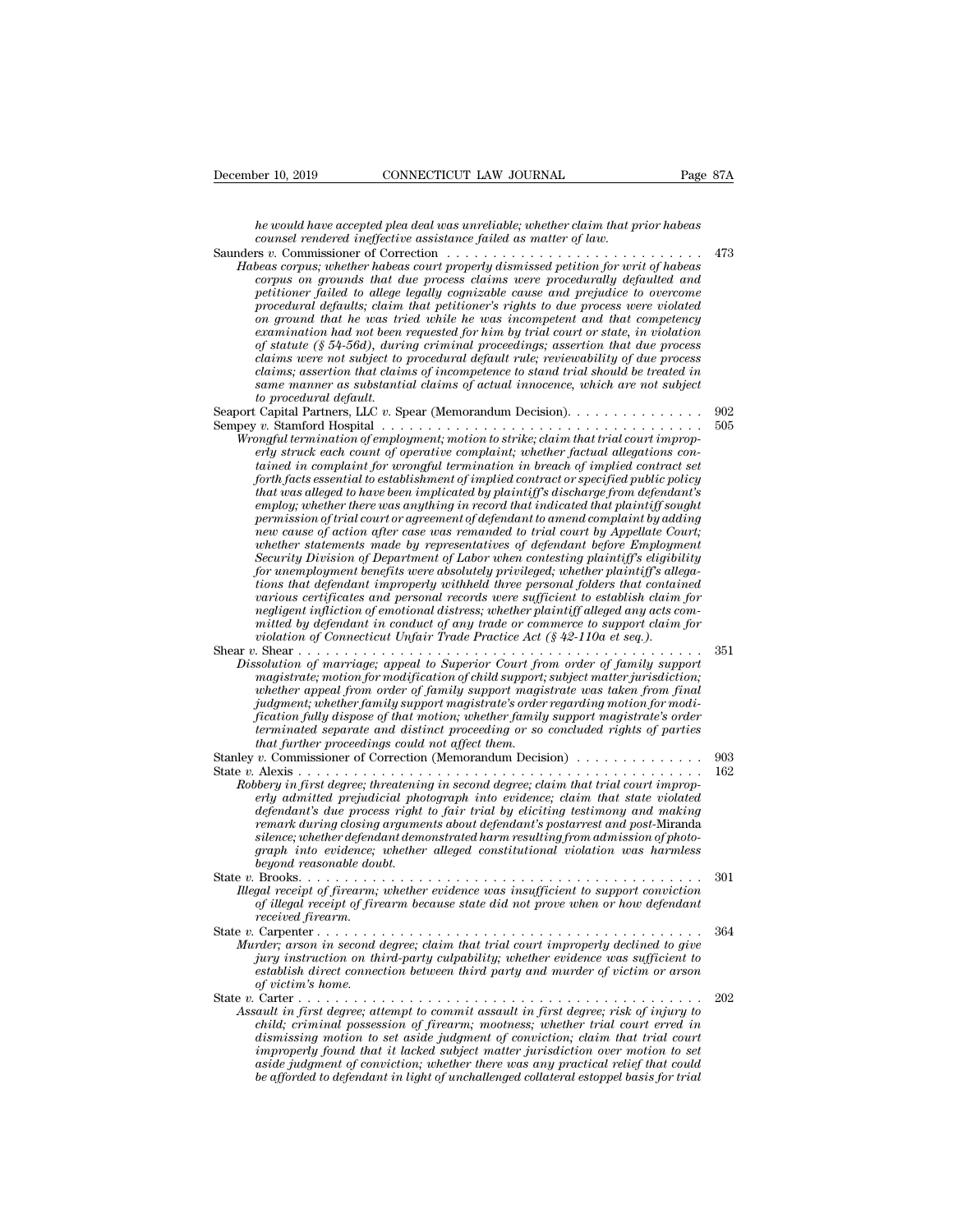*he would have accepted plea deal was unreliable; whether claim that prior habeas* **Pecember 10, 2019** CONNECTICUT LAW JOURNAL Page<br> *he would have accepted plea deal was unreliable; whether claim that prior habeas*<br> *counsel rendered ineffective assistance failed as matter of law.*<br>
Saunders v. Commissi

December 10, 2019 CONNECTICUT LAW JOURNAL Page 87A<br> *he would have accepted plea deal was unreliable; whether claim that prior habeas*<br> *counsel rendered ineffective assistance failed as matter of law.*<br>
Saunders *v.* Comm **Fage 87A**<br> *Habeas cound have accepted plea deal was unreliable; whether claim that prior habeas*<br> *he would have accepted plea deal was unreliable; whether claim that prior habeas*<br> *counsel rendered ineffective assistan corpus on grounds that due process claims were procedurally defaulted and petitioner would have accepted plea deal was unreliable; whether claim that prior habeas*<br>counsel rendered ineffective assistance failed as matter of law.<br> $\frac{1}{12}$ <br> $\frac{1}{12}$ <br> $\frac{1}{12}$  commissioner of Correction  $\ldots \ld$ *provald have accepted plea deal was unreliable; whether claim that prior habeas*<br> *procedural rendered ineffective assistance failed as matter of law.*<br> *procedurally defaulted and*<br> *provalisioner failed to allege legall ne would nave accepted pied deal was unretiable; whether claim that prior habeas*<br> *counsel rendered ineffective assistance failed as matter of law.*<br>  $\ldots$   $\ldots$  . A Commissioner of Correction  $\ldots$   $\ldots$  .<br>  $\ldots$   $\ldots$  *counsel rendered ineffective assistance jaited as matter of taw.*  $473$ <br>  $28$   $\kappa$  . Commissioner of Correction  $\ldots \ldots \ldots \ldots \ldots$   $473$ <br>  $28$   $28$   $\kappa$  whether hadeas court properly dismissed petition for writ of habeas *of statute (§ 54-56d), during criminal proceeding in the statute property dismissed petition for writ of habeas* corpus on grounds that due process claims were procedurally defaulted and corpus on ground bat due process *corpus; whether habeas court property dismissed petition for writ of habeas* corpus on grounds that due process claims were procedurally defaulted and percitioner failed to allege legally cognizable cause and prejudice to *corpus on grounds that due process claims were procedurally defaulted and petitioner failed to allege legally cognizable cause and prejudice to overcome procedural defaults; claim that petitioner's rights to due process w* petitioner failed to allege legally cognizable cause and prepudice to overcome<br>procedural defaults; claim that petitioner's rights to due process were violated<br>on ground that he was tried while he was incompetent and that procedural defaults; claim<br>on ground that he was tri<br>examination had not been<br>of statute (§ 54-56d), during<br>claims were not subject to<br>claims; assertion that claim<br>same manner as substanti<br>to procedural default.<br>Capital Pa on ground that he was tried while he was incompetent and that competency<br>examination had not been requested for him by trial court or state, in violation<br>of statute (§ 54-56d), during criminal proceedings; assertion that d *Semper in the total control to the statistical default and the process*<br> *claims were not subject to procedural default rule; reviewability of due process*<br> *claims; assertion that claims of incompetence to stand trial sh Mrongful termination of employmential default rule; reviewability of due process claims; assertion that claims of incompetence to stand trial should be treated in same manner as substantial claims of actual innocence, whi erly struck each counter of operative complaint rule; reviewability of oue processes and manner as substantial claims of actual innocence, which are not subject to procedural default.*<br> *exame manner as substantial claims tainms; assertion that claims of incompetence to stand trial should be treated in same manner as substantial claims of actual innocence, which are not subject to procedural default.*<br> *to procedural default.*<br>
Capital Par *forth facts essential to establishment of implied contract or specified public policy that was alleged to have been implicated by plaintiff's discharge from defendant's employ; whether there was anything in record that indicated that indicated termination of employment; whether factual allegations condition of employment; motion to strike; daim that trial court improp-<br>erly struck each c permission of employment; motion to strike; claim that trial court improp-*<br>*pergy struck each court of operative complaint; whether factual allegations con-*<br>*tained in complaint for wrongful termination in breach of imp ne* and the munitation of employment; motion to strike; claim that trial court improperly struck each count of operative complaint; whether factual allegations contained in complaint for wrongful termination in breach of

*erty struck each count of operative complaint; whether factual allegations contained in complaint for wrongful termination in breach of implied contract set forth facts essential to establishment of implied contract or sp* rained in complaint for wrongful termination in breach of implied contract set<br>forth facts essential to establishment of implied contract or specified public policy<br>that was alleged to have been implicated by plaintiff's d *forth facts essential to establishment of implied contract or specified public policy*<br>that was alleged to have been implicated by plaintiff's discharge from defendant's<br>employ; whether there was anything in record that i *that was alleged to have been umplicated by plaintiff's discharge from defendant's*<br>employ; whether there was anything in record that indicated that plaintiff sought<br>permission of trial court or agreement of defendant to *employ; whether there was anything in record that indicated that plaintly sought*<br>permission of trial court or agreement of defendant to amend complaint by adding<br>new cause of action after case was remanded to trial court new cause of action after case was remanded to trial court by Appellate Court;<br>whether statements made by representatives of defendant before Employment<br>Security Division of Department of Labor when contesting plaintiff's new cause of action after case was remanded to trial court by Appellate Court;<br>whether statements made by representatives of defendant before Employment<br>Security Division of Department of Labor when contesting plaintiffs e *Security Division of Department of Labor when contesting plaintiff's eligibility for unemployment benefits were absolutely privileged, whether plaintiff's allegations that defendant improperly withheld three personal fold* Security Division of Department of Labor when contesting plaintiff's allegations for unemployment benefits were absolutely privileged; whether plaintiff's allegations that defendant improperly withheld three personal folde *Dissolution of marriage; appeal to Superior Court from that defendant improperly withheld three personal folders that contained various certificates and personal records were sufficient to establish claim for negligent in magistrate; motion for more in the personal jolders that contained uneofly carricates and personal records were sufficient to establish claim for megligent inficition of emotional distress; whether plaintiff alleged any a* 

- *warious certification of emotional distress; whether plaintiff alleged any acts committed by defendant in conduct of any trade or commerce to support daim for violation of Connecticut Unfair Trade Practice Act (§ 42-110a judgment match of emotional astress; whether planntyf alleged any acts committed by defendant in conduct of any trade or commerce to support claim for violation of marriage; appeal to Superior Court from order of family s fication fully dispose of that motion; whether family support magistrate's order terminated separate and distinct proceeding or so concluded rights of parties that is a further in the solution of marriage, appeal to Superior Court from angistrate, motion for modification of child support, whether appeal from order of family support magistrate's order fication fully dispose of t Phissolution of marriage; appeat to Superior Court from order of Jamily support*<br> *whether appeal from order of family support magistrate was taken from final<br>
judgment; whether family support magistrate's order regarding* magistrice, modification of child support, subject matter jurisdiction,<br>whether appeal from order of family support magistrate was taken from final<br>judgment, whether family support magistrate's order regarding motion for m *Robbery in first degree; threatening support magnetics order regarding motion for modi-<br>fication fully dispose of that motion; whether family support magistrate's order<br>terminated separate and distinct proceeding or so co*
- *guagment, whether jamuy support maytstrate's order regarding motion fully dispose of that motion, whether family support magistrate's order terminated separate and distinct proceeding or so concluded rights of parties* th *defininated separate and distinct proceeding or so concluded rights of parties*<br>*derminated separate and distinct proceeding or so concluded rights of parties*<br>*btat further proceedings could not affect them.*<br>*v*. Commis *remarkated separate and arguments proceeding or so concluded rights of parties*<br>*rhat further proceedings could not affect them.*<br>*r*, Commissioner of Correction (Memorandum Decision)<br>Alexis . . . . . . . . . . . . . . . *silence; whether defendant demonstrated harm resulting from admission of photograph into evidence; whether alleged constitutional violation was harmless* and their that into evidence; in  $\hat{p}$  is  $\hat{p}$  is  $\hat{p}$  is  $\hat{p}$  is  $\hat{p}$  is  $\hat{p}$  is  $\hat{p}$  is  $\hat{p}$  is  $\hat{p}$  is  $\hat{p}$  is  $\$ Alexis<br>*bery in first degree; threatenin*<br>*bery in first degree; threatenin<br><i>defendant's due process right*<br>*remark during closing argumes<br>ience; whether defendant demotyped reasonable doubt.*<br>*Brooks......................* Roovery in first acgree; urreatening in second acgree; carm that trial court improperty and has the violated production photograph into evidence; claim that state violated defendant's due process right to fair trial by eli *Illegal and the process right to fair trial by eliciting testimony and making remark during cosing arguments about defendant's postarrest and post-Miranda silence; whether defendant demonstrated harm resulting from admiss of illegal receipt of firearm because state did not prove when or how defendant osing arguments about defendant's postarrest and post-Miranda silence; whether defendant demonstrated harm resulting from admission of phot received firearm.*
- State *v.* carpenter agendant demonstrated narm resulting from damission of photo-<br>graph into evidence; whether alleged constitutional violation was harmless<br>beyond reasonable doubt.<br>State v. Brooks. . . . . . . . . . . . *Murder; arson in second degree; claim that trial court improperly declined to beyond reasonable doubt.*<br> *Murder; arson in second degree; claim that trial court improperly declined to giveo-*<br> *Murder; arson in second deg*
- *gurma reasonable about.*<br> *gal receipt of firearm, whether evidence was insufficient to support conviction*<br> *gal receipt of firearm, whether evidence was insufficient to support conviction*<br> *of illegal receipt of firear establish direction in whether evidence was insufficient to support conviction*<br>*establish direction of firearm because state did not prove when or how defendant*<br>*received firearm.*<br>*Carpenter . . . . . . . . . . . . . . of victim's home.* State *v.* Carter . . . . . . . . . . . . . . . . . . . . . . . . . . . . . . . . . . . . . . . . . . . . <sup>202</sup> *Assault in first degree; attempt to commit assault in first degree; risk of injury to*
- *carpenter*  $\dots \dots \dots$  *comod degree; claim that trial court impropely declined to give*<br>*incy arson in second degree; claim that trial court impropely declined to give<br>party instruction on third-party culpability; whether e dismission in second agree; claim that trial court improperty declined to give jury instruction on third-party culpability; whether evidence was sufficient to* establish direct connection between third party and murder *improperly found that it lacked subject matter jurisdiction over motion to set aside judgment of conviction; whether there was any practical relief that could be* afformation and the control of unchallength of unchallendant in first degree; risk of injury to a child; criminal possession of firearm; mootness; whether trial court erred in dismissing motion to set aside judgment o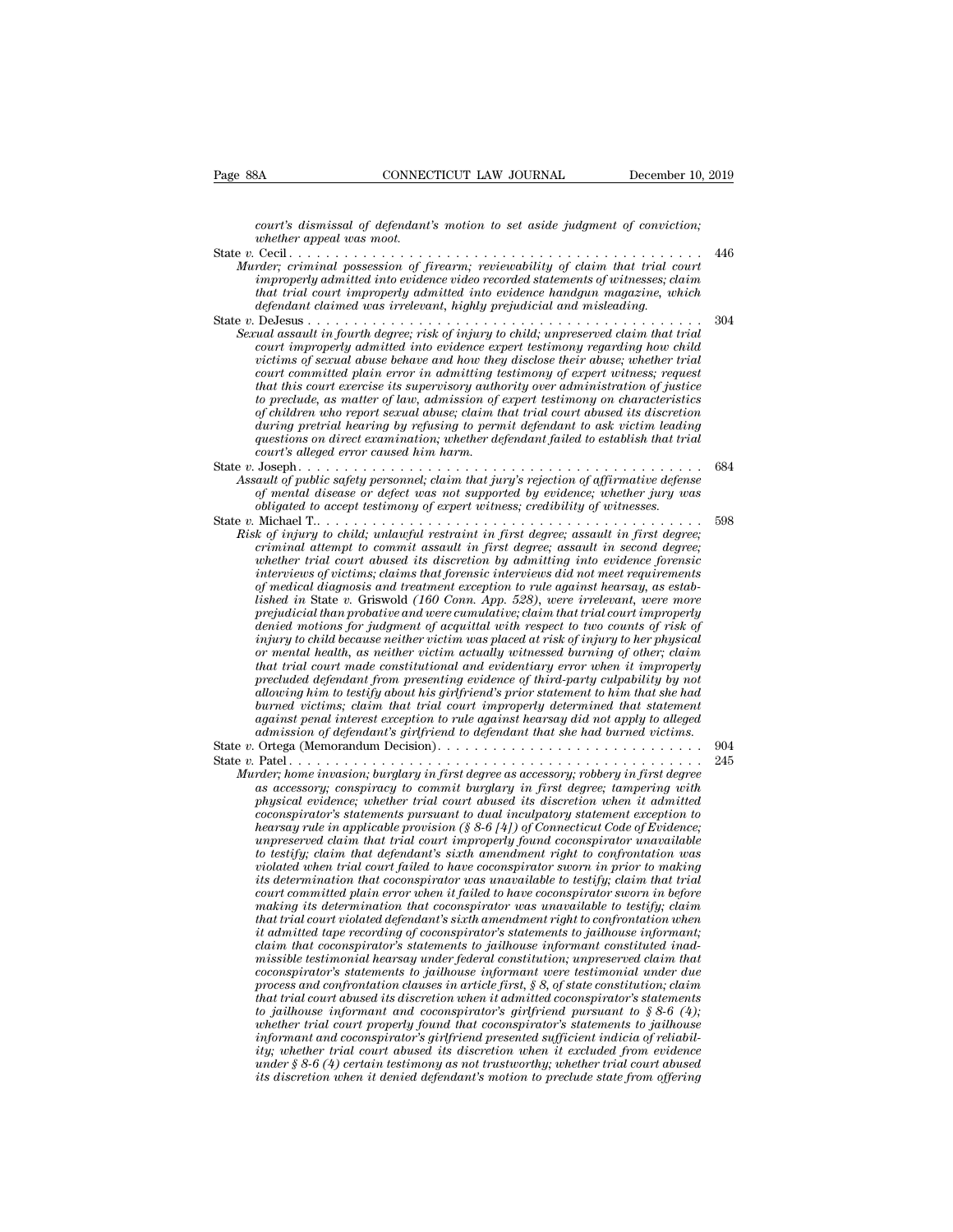*court's dismissal of defendant's motion to set aside judgment of conviction;*

| Page 88A                                                                                                                                                                                                                                                                                                                 | CONNECTICUT LAW JOURNAL                                                                                                                                                                                                                                                                                                                                                                                                                                                                                                                                                                                                                                                                                                                                                                                                                                                                                                                                                                                                                                                                                                                                                                                                                                                                                                                                                                                                                                                                                                                                                                                                                                                                                                                                                                                                                                                                                                                                                                                                                                                             | December 10, 2019 |
|--------------------------------------------------------------------------------------------------------------------------------------------------------------------------------------------------------------------------------------------------------------------------------------------------------------------------|-------------------------------------------------------------------------------------------------------------------------------------------------------------------------------------------------------------------------------------------------------------------------------------------------------------------------------------------------------------------------------------------------------------------------------------------------------------------------------------------------------------------------------------------------------------------------------------------------------------------------------------------------------------------------------------------------------------------------------------------------------------------------------------------------------------------------------------------------------------------------------------------------------------------------------------------------------------------------------------------------------------------------------------------------------------------------------------------------------------------------------------------------------------------------------------------------------------------------------------------------------------------------------------------------------------------------------------------------------------------------------------------------------------------------------------------------------------------------------------------------------------------------------------------------------------------------------------------------------------------------------------------------------------------------------------------------------------------------------------------------------------------------------------------------------------------------------------------------------------------------------------------------------------------------------------------------------------------------------------------------------------------------------------------------------------------------------------|-------------------|
| whether appeal was moot.                                                                                                                                                                                                                                                                                                 | court's dismissal of defendant's motion to set aside judgment of conviction;                                                                                                                                                                                                                                                                                                                                                                                                                                                                                                                                                                                                                                                                                                                                                                                                                                                                                                                                                                                                                                                                                                                                                                                                                                                                                                                                                                                                                                                                                                                                                                                                                                                                                                                                                                                                                                                                                                                                                                                                        |                   |
| Murder; criminal possession of firearm; reviewability of claim that trial court<br>improperly admitted into evidence video recorded statements of witnesses; claim<br>that trial court improperly admitted into evidence handgun magazine, which<br>defendant claimed was irrelevant, highly prejudicial and misleading. |                                                                                                                                                                                                                                                                                                                                                                                                                                                                                                                                                                                                                                                                                                                                                                                                                                                                                                                                                                                                                                                                                                                                                                                                                                                                                                                                                                                                                                                                                                                                                                                                                                                                                                                                                                                                                                                                                                                                                                                                                                                                                     |                   |
|                                                                                                                                                                                                                                                                                                                          | Sexual assault in fourth degree; risk of injury to child; unpreserved claim that trial<br>court improperly admitted into evidence expert testimony regarding how child<br>victims of sexual abuse behave and how they disclose their abuse; whether trial<br>court committed plain error in admitting testimony of expert witness; request<br>that this court exercise its supervisory authority over administration of justice<br>to preclude, as matter of law, admission of expert testimony on characteristics<br>of children who report sexual abuse; claim that trial court abused its discretion<br>during pretrial hearing by refusing to permit defendant to ask victim leading<br>questions on direct examination; whether defendant failed to establish that trial<br>court's alleged error caused him harm.                                                                                                                                                                                                                                                                                                                                                                                                                                                                                                                                                                                                                                                                                                                                                                                                                                                                                                                                                                                                                                                                                                                                                                                                                                                             | 304               |
|                                                                                                                                                                                                                                                                                                                          | Assault of public safety personnel; claim that jury's rejection of affirmative defense<br>of mental disease or defect was not supported by evidence; whether jury was<br>obligated to accept testimony of expert witness; credibility of witnesses.                                                                                                                                                                                                                                                                                                                                                                                                                                                                                                                                                                                                                                                                                                                                                                                                                                                                                                                                                                                                                                                                                                                                                                                                                                                                                                                                                                                                                                                                                                                                                                                                                                                                                                                                                                                                                                 | 684               |
|                                                                                                                                                                                                                                                                                                                          | Risk of injury to child; unlawful restraint in first degree; assault in first degree;<br>criminal attempt to commit assault in first degree; assault in second degree;<br>whether trial court abused its discretion by admitting into evidence forensic<br>interviews of victims; claims that forensic interviews did not meet requirements<br>of medical diagnosis and treatment exception to rule against hearsay, as estab-<br>lished in State v. Griswold (160 Conn. App. 528), were irrelevant, were more<br>prejudicial than probative and were cumulative; claim that trial court improperly<br>denied motions for judgment of acquittal with respect to two counts of risk of<br>injury to child because neither victim was placed at risk of injury to her physical<br>or mental health, as neither victim actually witnessed burning of other; claim<br>that trial court made constitutional and evidentiary error when it improperly<br>precluded defendant from presenting evidence of third-party culpability by not<br>allowing him to testify about his girlfriend's prior statement to him that she had<br>burned victims; claim that trial court improperly determined that statement<br>against penal interest exception to rule against hearsay did not apply to alleged<br>admission of defendant's girlfriend to defendant that she had burned victims.                                                                                                                                                                                                                                                                                                                                                                                                                                                                                                                                                                                                                                                                                                        | 598               |
|                                                                                                                                                                                                                                                                                                                          | Murder; home invasion; burglary in first degree as accessory; robbery in first degree<br>as accessory; conspiracy to commit burglary in first degree; tampering with<br>physical evidence; whether trial court abused its discretion when it admitted<br>coconspirator's statements pursuant to dual inculpatory statement exception to<br>hearsay rule in applicable provision (§ 8-6 [4]) of Connecticut Code of Evidence;<br>unpreserved claim that trial court improperly found coconspirator unavailable<br>to testify; claim that defendant's sixth amendment right to confrontation was<br>violated when trial court failed to have coconspirator sworn in prior to making<br>its determination that coconspirator was unavailable to testify; claim that trial<br>court committed plain error when it failed to have coconspirator sworn in before<br>making its determination that coconspirator was unavailable to testify; claim<br>that trial court violated defendant's sixth amendment right to confrontation when<br>it admitted tape recording of coconspirator's statements to jailhouse informant;<br>claim that coconspirator's statements to jailhouse informant constituted inad-<br>missible testimonial hearsay under federal constitution; unpreserved claim that<br>coconspirator's statements to jailhouse informant were testimonial under due<br>process and confrontation clauses in article first, $\S 8$ , of state constitution; claim<br>that trial court abused its discretion when it admitted coconspirator's statements<br>to jailhouse informant and coconspirator's girlfriend pursuant to $\S 8-6$ (4);<br>whether trial court properly found that coconspirator's statements to jailhouse<br>informant and coconspirator's girlfriend presented sufficient indicia of reliabil-<br>ity; whether trial court abused its discretion when it excluded from evidence<br>under $\S 8-6(4)$ certain testimony as not trustworthy; whether trial court abused<br>its discretion when it denied defendant's motion to preclude state from offering | 904<br>245        |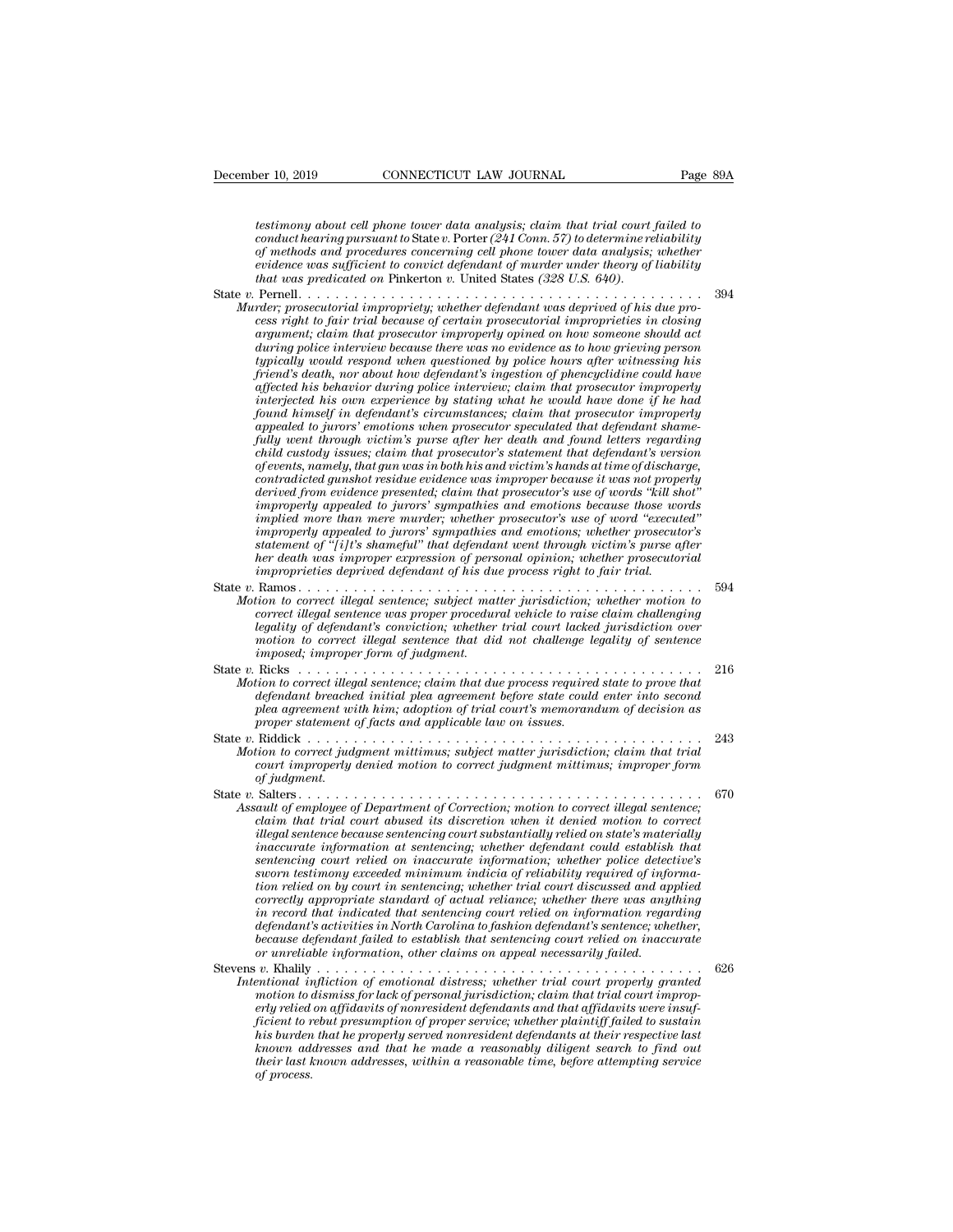*testimony about cell phone tower data analysis; claim that trial court failed to* **conduct Hearth Conduct Heary conduct to Conduct Hearth Page 89A**<br> *conduct hearing pursuant to State v. Porter (241 Conn. 57) to determine reliability*<br> *conduct hearing pursuant to State v. Porter (241 Conn. 57) to det* **of methods and procedures and procedures and procedures and procedures and procedures testimony about cell phone tower data analysis; claim that trial court failed to conduct hearing pursuant to State v. Porter (241 Conn. evaluates and CONNECTICUT LAW JOURNAL** Page 89A<br> *estimony about cell phone tower data analysis; claim that trial court failed to*<br> *conduct hearing pursuant to State v. Porter (241 Conn. 57) to determine reliability*<br> *o testimony about cell phone tower data analysis; claim that trial court failed to conduct hearing pursuant to State v. Porter (241 Conn. 57) to determine reliability of methods and procedures concerning cell phone tower da* testimony about cell phone tower data analysis; claim that trial court failed to<br>conduct hearing pursuant to State v. Porter (241 Conn. 57) to determine reliability<br>of methods and procedures concerning cell phone tower dat *Murder; prosecutorial impropriety; whether defendant was deprived of methods and procedures concerning cell phone tower data analysis; whether evidence was sufficient to convict defendant of murder under theory of liabili* 

*cessimoly about ceal phone wave ratio* and *chairs'ss*, canni *and conduct hearing pursuant to* State v. Potter (241 Conn. 57) to determine reliability of methods and procedures concerning cell phone tower data analysis *conduct mean ray parsacta to sake the term in the determine retational of methods and procedures concerning cell phone tower data analysis; whether evidence was sufficient to convict defendant of murder under theory of l during sum procedures concerning cet phone was rangies, ancherically evidence was sufficient to convict defendant of murder under under theory of liability that was predicated on Pinkerton v. United States (328 U.S. 640). typically would respond when questioned by police hours after witnessing his friend's death, nor about how defendant's ingestion of phencyclidine could have affected his behavior during police interview; claim that prosecutor improperly inter; prosecutorial impropriety; whether defendant was deprived of his due process right to fair trial because of certain prosecutorial improprieties in closing argument; claim that prosecutor improperly opined on how so found to fair trial because of certain prosecutorial improprieties in closing*<br>*fouring police interview because there was no evidence as to how someone should act<br>typically would respond when questioned by police hours a* argument; claim that prosecutor improperly opined on how someone should act<br>during police interview because there was no evidence as to how grieving person<br>typically would respond when questioned by police hours after witn *fully would respond when questioned by police hours after witnessing his triend's death, nor about how defendant's ingestion of phencyclidine could have affected his behavior during police interview; claim that prosecutor chypically would respond when questioned by police hours after witnessing his* friend's death, nor about how defendant's ingestion of phencyclidine could have affected his own experience by stating what he would have done *friend's death, nor about how defendant's ingestion of phencyclidine could have* affected his behavior during police interview; claim that prosecutor improperly interjected his own experience by stating what he would have affected has behavior during police interview; claim that prosecutor improperty<br>interjected his own experience by stating what he would have done if he had<br>found himself in defendant's circumstances; claim that prosecutor *derived in sown experience by stating what he would have done if he had*<br>found himself in defendant's circumstances; claim that prosecutor improperly<br>appealed to jurors' emotions when prosecutor speculated that defendant *found himself in defendant's circumstances; claim that prosecutor improperly appealed to jurors' emotions when prosecutor speculated that defendant shame-fully went through victim's purse after her death and found letters* appeated to jurors' emotions when prosecutor speculated that defendant shame-<br>fully went through victim's purse after her death and found letters regarding<br>child custody issues; claim that prosecutor's statement that defen *fully went through vcctum's purse after her death and jound letters regarding*<br> *child custody issues; claim that prosecutor's statement that defendant's version*<br> *of events, namely, that gun was in both his and victim's chuld custody issues; claim that prosecutor's statement that defendant's version*<br>of events, namely, that gun was in both his and victim's hands at time of discharge,<br>contradicted gunshot residue evidence was improper bec *herof events, namely, that gun was in both his and victim's hands at time of discharge,*<br>contradicted gunshot residue evidence was improper because it was not properly<br>derived from evidence presented; claim that prosecuto *contradicted gunshot residue evidence was improper because it was not propertived from evidence presented; claim that prosecutor's use of words "kill shimproperly appealed to jurors' sympathies and emotions because those* improperly appealed to juring sympathies and emotions because those words<br>
improperly appealed to juring's sympathies and emotions because those words<br>
improperly appealed to juring's sympathies and emotions; whether prose *Motion to correct illegal sentence; subjectuates and emotions because inspective*<br> *Morpoperly appealed to jurors' sympathies and emotions; whether prosecutor's*<br> *Motion to correct illegal sentence; subject matter jurisd correction in a improperly appealed to jurors' sympathies and emotions; whether prosecutor's*<br> *contenent of "[i]t's shameful" that defendant went through victim's purse after*<br> *her death was improper expression of perso legality appearation jurisdiction; whenewer the defendant emotions, whether prosecurisdiction is the defendant went through victim's purse after her death was improper expression of personal opinion; whether prosecutorial motion to pright symmetral wall examined the model that direction the death was improper expression of personal opinion; whether prosecutorial improprieties deprived defendant of his due process right to fair trial.*<br>
Ram *improprieties deprived defendant of his due process right to fair trial.*<br> *Motion to correct illegal sentence; subject matter jurisdiction; whether m*<br> *correct illegal sentence was proper procedural vehicle to raise cla* State *v.* Ramos.<br> *Motion to correct illegal sentence; subject matter jurisdiction, whether motion to correct illegal sentence was proper procedural vehicle to raise claim challenging legality of defendant's conviction; w A Motion to correct illegal sentence; subject matter jurisdiction; whether motion to*<br>correct illegal sentence was proper procedural vehicle to raise claim challenging<br>legality of defendant's conviction; whether trial c *definition is correct illegal sentence, salget matter juristation, whether motion to correct illegal sentence was proper procedural vehicle to raise claim challenging legality of defendant's conviction, whether trial cour pleadity of defendant's conviction; whether trial court lacked jurisdiction over*<br>*pleadity of defendant's conviction; whether trial court lacked jurisdiction over*<br>*mosed; improper form of judgment.*<br>Ricks . . . . . . . *proper statement of facts and applicable law on issues.* State *<sup>v</sup>*. Riddick . . . . . . . . . . . . . . . . . . . . . . . . . . . . . . . . . . . . . . . . . . . <sup>243</sup> *P Motion to correct illegal sentence; claim that due process required state to prove that*<br> *Motion to correct illegal sentence; claim that due process required state to prove that*<br> *defendant breached initial plea agr* rians courrect illegal sentence; claim that due process required state to prove that<br>defendant breached initial plea agreement before state could enter into second<br>plea agreement with him; adoption of trial court's memoran *defendant breached initial plea agreement before state could enter into second<br>plea agreement with him; adoption of trial court's memorandum of decision as<br>proper statement of facts and applicable law on issues.*<br>State v. State *v.* Salters . . . . . . . . . . . . . . . . . . . . . . . . . . . . . . . . . . . . . . . . . . . . <sup>670</sup> *Assault of employee of Department of Correction; motion to correct in that trial*<br> *Assault of employee of Department of Correction; motion to correct illegal sentence;*<br> *Assault of employee of Department of Correction;* illegal sentence because sentencing court substantially relied on state's materially *illegal sentence because sentencing court substantially relied on state's materially inaccurate information at sentencing; whether defendant could establish that sentencing court relied on inaccurate information; whether police detective's small to employee of Department of Correction; motion to correct illegal sentence; all to femployee of Department of Correction; motion to correct illegal sentence; claim that trial court abused its discretion when it den tion relied on by court in sentencing; whether trial court discussed and applied correction; motion to correction; motion to correct ulegal sentence;*<br> *claim that trial court abused its discretion when it denied motion to correct<br>
illegal sentence because sentencing court substantially reliability re claim that trial court abused its ascretion when it denied motion to correct illegal sentencing court substantially relied on state's materially insecurate information at sentencing; whether defendant could establish that defendant information at sentencing court substantially relied on state's materially inaccurate information at sentencing; whether defendant could establish that sentencing court relied on inaccurate information; whether because information at sentencing; whether defendant could establish that* sentencing court relied on inaccurate information; whether police detective's sworn testimony exceeded minimum indicia of reliability required of *Sentencing court retied on inaccurate information; whether police detection testimony exceeded minimum indicia of reliability required of information relied on by court in sentencing, whether trial court discussed and app* stevens *v*. stevens *v*. created mutual interaction  $y$  count in sentencing; whether trial court discussed and applied<br>correctly appropriate standard of actual reliance; whether there was anything<br>in record that indicated *Intertional in the standard of actual reliance; whether there was anything*<br> *In record that indicated that sentencing court relied on information regarding*<br> *in record that indicated that sentencing court relied on info motion to dismiss for lactated that sentencing court relied on iformation regarding defendant's activities in North Carolina to fashion defendant's sentence; whether, because defendant failed to establish that sentencing* 

*ert record nua macnual material conditional defendant's sentence; whethere, defendant's activities in North Carolina to fashion defendant's sentence; whether, because defendant failed to establish that sentencing court re figured in succession we constrained to distribute to refinant succession distributes in transien or unreliable information, other claims on appeal necessarily failed.*<br> *or unreliable information, other claims on appeal his burden that he properly served nonresident defendants at their respective last known addresses and that he made a reasonably diligent search to find out v.* Khalily .... and infliction of emotional distress; whether trial court properly granted infliction to dismiss for lack of personal jurisdiction; claim that trial court improperty relied on affidavits of nonresident de *of motion to the enly relied ficient to r*<br>*ficient to r*<br>*his burden*<br>*known adder last k*<br>*of process.*